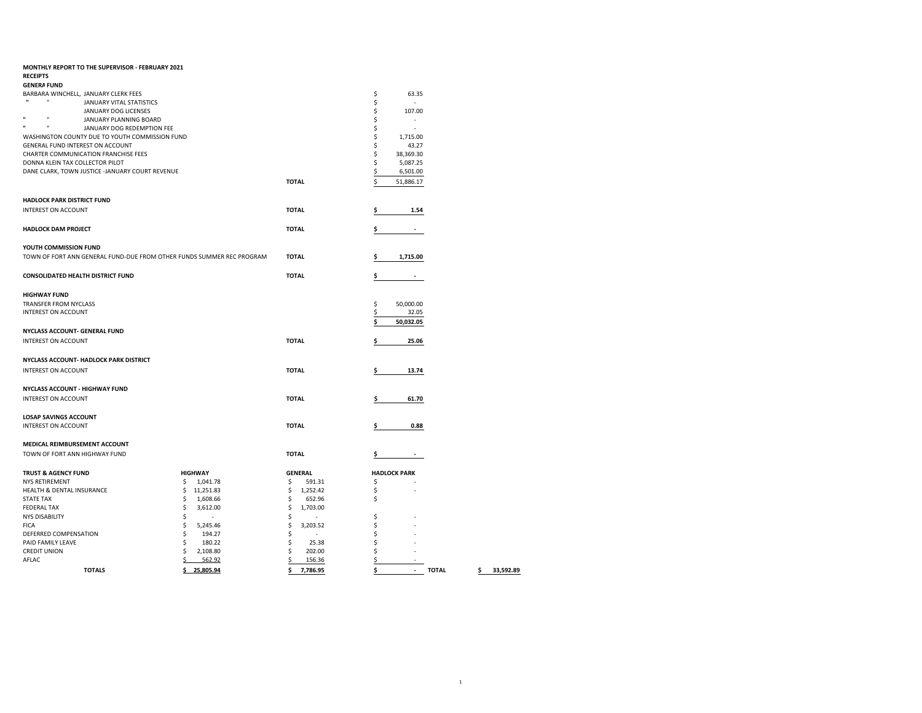| MONTHLY REPORT TO THE SUPERVISOR - FEBRUARY 2021                              |                 |                                |    |                     |
|-------------------------------------------------------------------------------|-----------------|--------------------------------|----|---------------------|
| <b>RECEIPTS</b>                                                               |                 |                                |    |                     |
| <b>GENERA FUND</b>                                                            |                 |                                |    |                     |
| BARBARA WINCHELL, JANUARY CLERK FEES                                          |                 |                                | \$ | 63.35               |
| $\mathbf{u}$<br>$\mathbf{H}$<br>JANUARY VITAL STATISTICS                      |                 |                                | \$ | ÷.                  |
| JANUARY DOG LICENSES                                                          |                 |                                | \$ | 107.00              |
| $\mathbf{u}$<br>$\mathbf{u}$<br>JANUARY PLANNING BOARD<br>$\mathbf{u}$<br>'n, |                 |                                | \$ |                     |
| JANUARY DOG REDEMPTION FEE                                                    |                 |                                | \$ | ×.                  |
| WASHINGTON COUNTY DUE TO YOUTH COMMISSION FUND                                |                 |                                | \$ | 1,715.00            |
| GENERAL FUND INTEREST ON ACCOUNT                                              |                 |                                | \$ | 43.27               |
| <b>CHARTER COMMUNICATION FRANCHISE FEES</b>                                   |                 |                                | \$ | 38,369.30           |
| DONNA KLEIN TAX COLLECTOR PILOT                                               |                 |                                | \$ | 5,087.25            |
| DANE CLARK, TOWN JUSTICE -JANUARY COURT REVENUE                               |                 |                                | \$ | 6,501.00            |
|                                                                               |                 | <b>TOTAL</b>                   | Ś  | 51,886.17           |
| <b>HADLOCK PARK DISTRICT FUND</b>                                             |                 |                                |    |                     |
| <b>INTEREST ON ACCOUNT</b>                                                    |                 | <b>TOTAL</b>                   | Ś  | 1.54                |
|                                                                               |                 |                                |    |                     |
| <b>HADLOCK DAM PROJECT</b>                                                    |                 | <b>TOTAL</b>                   | \$ |                     |
|                                                                               |                 |                                |    |                     |
| YOUTH COMMISSION FUND                                                         |                 |                                |    |                     |
| TOWN OF FORT ANN GENERAL FUND-DUE FROM OTHER FUNDS SUMMER REC PROGRAM         |                 | <b>TOTAL</b>                   | s  | 1,715.00            |
|                                                                               |                 |                                |    |                     |
| CONSOLIDATED HEALTH DISTRICT FUND                                             |                 | <b>TOTAL</b>                   | \$ |                     |
|                                                                               |                 |                                |    |                     |
| <b>HIGHWAY FUND</b>                                                           |                 |                                |    |                     |
| <b>TRANSFER FROM NYCLASS</b>                                                  |                 |                                | \$ | 50,000.00           |
| <b>INTEREST ON ACCOUNT</b>                                                    |                 |                                | \$ | 32.05               |
|                                                                               |                 |                                | \$ | 50,032.05           |
| <b>NYCLASS ACCOUNT- GENERAL FUND</b>                                          |                 |                                |    |                     |
| <b>INTEREST ON ACCOUNT</b>                                                    |                 | <b>TOTAL</b>                   | \$ | 25.06               |
|                                                                               |                 |                                |    |                     |
| NYCLASS ACCOUNT- HADLOCK PARK DISTRICT                                        |                 |                                |    |                     |
| <b>INTEREST ON ACCOUNT</b>                                                    |                 | <b>TOTAL</b>                   | \$ | 13.74               |
|                                                                               |                 |                                |    |                     |
| <b>NYCLASS ACCOUNT - HIGHWAY FUND</b>                                         |                 |                                |    |                     |
| <b>INTEREST ON ACCOUNT</b>                                                    |                 | <b>TOTAL</b>                   | \$ | 61.70               |
|                                                                               |                 |                                |    |                     |
| <b>LOSAP SAVINGS ACCOUNT</b>                                                  |                 |                                |    |                     |
| <b>INTEREST ON ACCOUNT</b>                                                    |                 | <b>TOTAL</b>                   | \$ | 0.88                |
|                                                                               |                 |                                |    |                     |
| MEDICAL REIMBURSEMENT ACCOUNT                                                 |                 |                                |    |                     |
| TOWN OF FORT ANN HIGHWAY FUND                                                 |                 | <b>TOTAL</b>                   | \$ |                     |
|                                                                               |                 |                                |    |                     |
| <b>TRUST &amp; AGENCY FUND</b>                                                | <b>HIGHWAY</b>  | <b>GENERAL</b>                 |    | <b>HADLOCK PARK</b> |
| <b>NYS RETIREMENT</b>                                                         | \$<br>1,041.78  | \$<br>591.31                   | \$ |                     |
| HEALTH & DENTAL INSURANCE                                                     | \$<br>11,251.83 | \$<br>1,252.42                 | \$ |                     |
| <b>STATE TAX</b>                                                              | \$<br>1,608.66  | \$<br>652.96                   | \$ |                     |
| <b>FEDERAL TAX</b>                                                            | \$<br>3,612.00  | \$<br>1,703.00                 |    |                     |
| NYS DISABILITY                                                                | \$<br>$\sim$    | \$                             | \$ |                     |
| <b>FICA</b>                                                                   | \$<br>5,245.46  | \$<br>3,203.52                 | \$ |                     |
| DEFERRED COMPENSATION                                                         | \$<br>194.27    | \$<br>$\overline{\phantom{a}}$ | \$ |                     |
| PAID FAMILY LEAVE                                                             | \$<br>180.22    | \$<br>25.38                    | \$ |                     |
| <b>CREDIT UNION</b>                                                           | \$<br>2,108.80  | \$<br>202.00                   | \$ |                     |
| AFLAC                                                                         | \$<br>562.92    | \$<br>156.36                   | \$ |                     |
| <b>TOTALS</b>                                                                 | ¢<br>25.805.94  | ¢<br>7.786.95                  | ¢  | <b>TOTAL</b>        |

**TOTALS \$ 25,805.94 \$ 7,786.95 \$ - TOTAL \$ 33,592.89**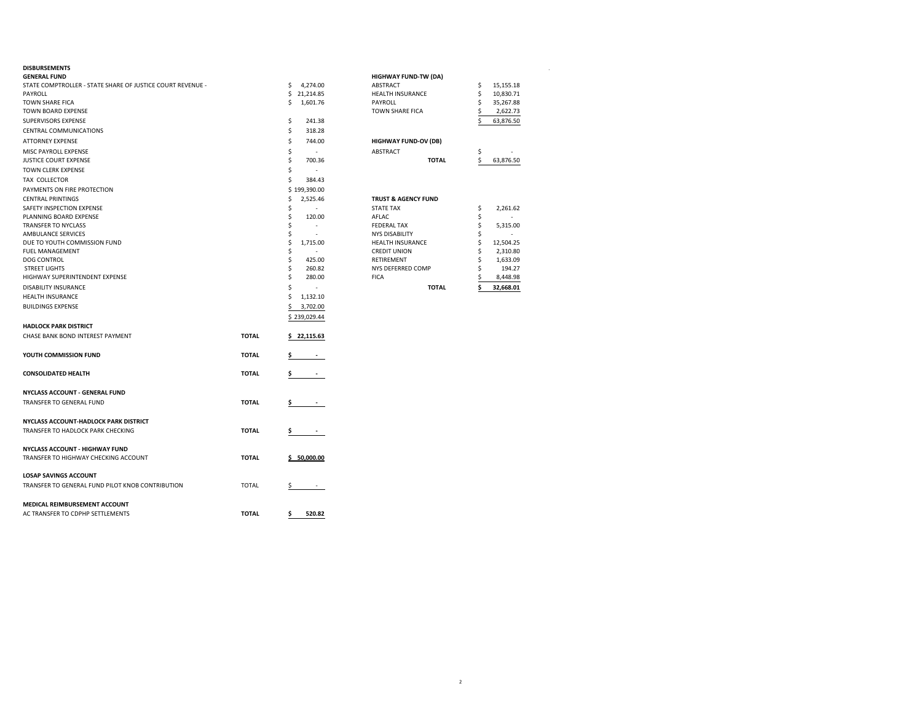| GENERAL FUND                                               |              |                          | <b>HIGHWAY FUND-TW (DA)</b>    |    |           |
|------------------------------------------------------------|--------------|--------------------------|--------------------------------|----|-----------|
| STATE COMPTROLLER - STATE SHARE OF JUSTICE COURT REVENUE - |              | 4,274.00<br>\$           | ABSTRACT                       | \$ | 15,155.18 |
| PAYROLL                                                    |              | \$21,214.85              | <b>HEALTH INSURANCE</b>        | \$ | 10,830.71 |
| <b>TOWN SHARE FICA</b>                                     |              | 1,601.76<br>Ŝ.           | PAYROLL                        | Ś  | 35,267.88 |
| TOWN BOARD EXPENSE                                         |              |                          | TOWN SHARE FICA                |    | 2,622.73  |
| SUPERVISORS EXPENSE                                        |              | \$<br>241.38             |                                |    | 63,876.50 |
| CENTRAL COMMUNICATIONS                                     |              | \$<br>318.28             |                                |    |           |
| ATTORNEY EXPENSE                                           |              | \$<br>744.00             | <b>HIGHWAY FUND-OV (DB)</b>    |    |           |
| MISC PAYROLL EXPENSE                                       |              | \$<br>$\sim$             | ABSTRACT                       | Ś  |           |
| JUSTICE COURT EXPENSE                                      |              | \$<br>700.36             | <b>TOTAL</b>                   | Ś  | 63,876.50 |
| TOWN CLERK EXPENSE                                         |              | \$<br>$\sim$             |                                |    |           |
| TAX COLLECTOR                                              |              | Ś<br>384.43              |                                |    |           |
| PAYMENTS ON FIRE PROTECTION                                |              | \$199,390.00             |                                |    |           |
| <b>CENTRAL PRINTINGS</b>                                   |              | 2,525.46<br>\$           | <b>TRUST &amp; AGENCY FUND</b> |    |           |
| SAFETY INSPECTION EXPENSE                                  |              | \$                       | <b>STATE TAX</b>               | \$ | 2,261.62  |
| PLANNING BOARD EXPENSE                                     |              | \$<br>120.00             | AFLAC                          | \$ |           |
| TRANSFER TO NYCLASS                                        |              | Ś                        | <b>FEDERAL TAX</b>             | Ś  | 5,315.00  |
| AMBULANCE SERVICES                                         |              | Ś                        | <b>NYS DISABILITY</b>          | Ś  |           |
| DUE TO YOUTH COMMISSION FUND                               |              | \$<br>1,715.00           | <b>HEALTH INSURANCE</b>        | Ś  | 12,504.25 |
| <b>FUEL MANAGEMENT</b>                                     |              | Ś                        | <b>CREDIT UNION</b>            | Ś  | 2,310.80  |
| DOG CONTROL                                                |              | \$<br>425.00             | <b>RETIREMENT</b>              | Ś  | 1,633.09  |
| <b>STREET LIGHTS</b>                                       |              | 260.82                   | NYS DEFERRED COMP              |    | 194.27    |
| HIGHWAY SUPERINTENDENT EXPENSE                             |              | Ŝ<br>280.00              | <b>FICA</b>                    |    | 8,448.98  |
| DISABILITY INSURANCE                                       |              | Ŝ                        | <b>TOTAL</b>                   |    | 32,668.01 |
| <b>HEALTH INSURANCE</b>                                    |              | Ś<br>1,132.10            |                                |    |           |
| <b>BUILDINGS EXPENSE</b>                                   |              | 3,702.00                 |                                |    |           |
|                                                            |              | \$239,029.44             |                                |    |           |
| <b>HADLOCK PARK DISTRICT</b>                               |              |                          |                                |    |           |
| CHASE BANK BOND INTEREST PAYMENT                           | <b>TOTAL</b> | \$22,115.63              |                                |    |           |
|                                                            |              |                          |                                |    |           |
| YOUTH COMMISSION FUND                                      | <b>TOTAL</b> | Ş.                       |                                |    |           |
|                                                            |              |                          |                                |    |           |
| <b>CONSOLIDATED HEALTH</b>                                 | <b>TOTAL</b> | \$                       |                                |    |           |
| NYCLASS ACCOUNT - GENERAL FUND                             |              |                          |                                |    |           |
| TRANSFER TO GENERAL FUND                                   | <b>TOTAL</b> | \$                       |                                |    |           |
| NYCLASS ACCOUNT-HADLOCK PARK DISTRICT                      |              |                          |                                |    |           |
|                                                            | <b>TOTAL</b> |                          |                                |    |           |
| TRANSFER TO HADLOCK PARK CHECKING                          |              | Ş.<br><b>State State</b> |                                |    |           |
| NYCLASS ACCOUNT - HIGHWAY FUND                             |              |                          |                                |    |           |
| TRANSFER TO HIGHWAY CHECKING ACCOUNT                       | <b>TOTAL</b> | \$50,000.00              |                                |    |           |
| <b>LOSAP SAVINGS ACCOUNT</b>                               |              |                          |                                |    |           |
| TRANSFER TO GENERAL FUND PILOT KNOB CONTRIBUTION           | <b>TOTAL</b> | \$                       |                                |    |           |
| MEDICAL REIMBURSEMENT ACCOUNT                              |              |                          |                                |    |           |
| AC TRANSFER TO CDPHP SETTLEMENTS                           | <b>TOTAL</b> | 520.82<br>Ş.             |                                |    |           |
|                                                            |              |                          |                                |    |           |

| <b>DISBURSEMENTS</b>                                       |    |                          |                                |    |           |
|------------------------------------------------------------|----|--------------------------|--------------------------------|----|-----------|
| <b>GENERAL FUND</b>                                        |    |                          | <b>HIGHWAY FUND-TW (DA)</b>    |    |           |
| STATE COMPTROLLER - STATE SHARE OF JUSTICE COURT REVENUE - | Ŝ. | 4,274.00                 | ABSTRACT                       |    | 15,155.18 |
| PAYROLL                                                    |    | 21,214.85                | <b>HEALTH INSURANCE</b>        |    | 10,830.71 |
| <b>TOWN SHARE FICA</b>                                     | Ś  | 1,601.76                 | PAYROLL                        |    | 35,267.88 |
| <b>TOWN BOARD EXPENSE</b>                                  |    |                          | <b>TOWN SHARE FICA</b>         |    | 2,622.73  |
| SUPERVISORS EXPENSE                                        | Ŝ  | 241.38                   |                                |    | 63,876.50 |
| <b>CENTRAL COMMUNICATIONS</b>                              |    | 318.28                   |                                |    |           |
| <b>ATTORNEY EXPENSE</b>                                    |    | 744.00                   | <b>HIGHWAY FUND-OV (DB)</b>    |    |           |
| MISC PAYROLL EXPENSE                                       |    | $\overline{\phantom{a}}$ | ABSTRACT                       | \$ |           |
| <b>JUSTICE COURT EXPENSE</b>                               |    | 700.36                   | <b>TOTAL</b>                   |    | 63,876.50 |
| <b>TOWN CLERK EXPENSE</b>                                  |    |                          |                                |    |           |
| TAX COLLECTOR                                              |    | 384.43                   |                                |    |           |
| PAYMENTS ON FIRE PROTECTION                                |    | \$199,390.00             |                                |    |           |
| <b>CENTRAL PRINTINGS</b>                                   |    | 2,525.46                 | <b>TRUST &amp; AGENCY FUND</b> |    |           |
| SAFETY INSPECTION EXPENSE                                  |    |                          | <b>STATE TAX</b>               | S  | 2,261.62  |
| PLANNING BOARD EXPENSE                                     |    | 120.00                   | AFLAC                          |    |           |
| <b>TRANSFER TO NYCLASS</b>                                 |    |                          | <b>FEDERAL TAX</b>             |    | 5,315.00  |
| AMBULANCE SERVICES                                         |    |                          | <b>NYS DISABILITY</b>          |    | $\sim$    |
| DUE TO YOUTH COMMISSION FUND                               |    | 1,715.00                 | <b>HEALTH INSURANCE</b>        |    | 12,504.25 |
| <b>FUEL MANAGEMENT</b>                                     |    |                          | <b>CREDIT UNION</b>            |    | 2,310.80  |
| <b>DOG CONTROL</b>                                         |    | 425.00                   | <b>RETIREMENT</b>              |    | 1,633.09  |
| <b>STREET LIGHTS</b>                                       |    | 260.82                   | NYS DEFERRED COMP              |    | 194.27    |
| HIGHWAY SUPERINTENDENT EXPENSE                             |    | 280.00                   | <b>FICA</b>                    |    | 8,448.98  |
| <b>DISABILITY INSURANCE</b>                                |    | $\overline{\phantom{a}}$ | <b>TOTAL</b>                   |    | 32,668.01 |
| <b>HEALTH INSURANCE</b>                                    |    | 1,132.10                 |                                |    |           |